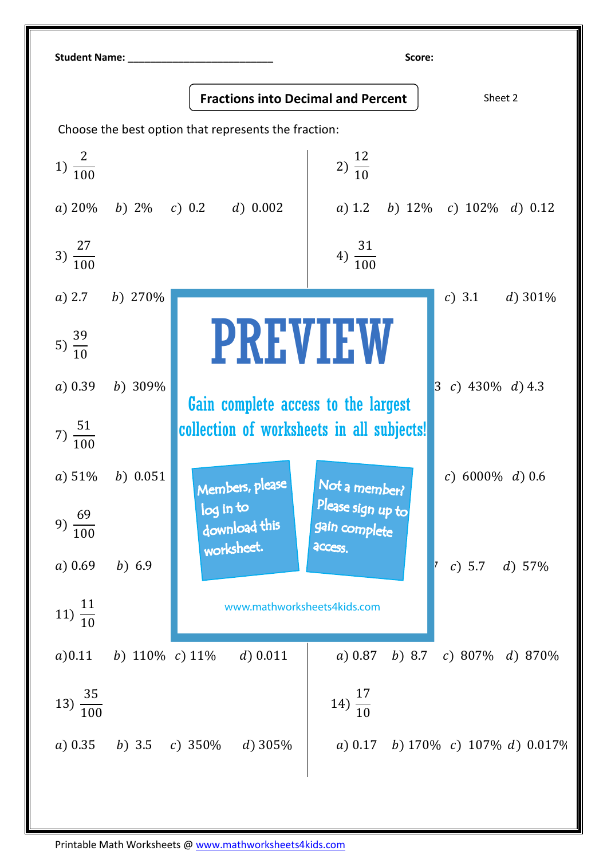| <b>Student Name:</b>                                 |                                           |                                           | Score:                                        |                                   |
|------------------------------------------------------|-------------------------------------------|-------------------------------------------|-----------------------------------------------|-----------------------------------|
|                                                      | <b>Fractions into Decimal and Percent</b> |                                           |                                               | Sheet 2                           |
| Choose the best option that represents the fraction: |                                           |                                           |                                               |                                   |
| 1) $\frac{2}{100}$                                   |                                           |                                           | 2) $\frac{12}{10}$                            |                                   |
|                                                      |                                           | a) $20\%$ b) $2\%$ c) 0.2 d) 0.002        |                                               | a) 1.2 b) 12% c) 102% d) 0.12     |
| 3) $\frac{27}{100}$                                  |                                           |                                           | $4) \frac{31}{100}$                           |                                   |
| $a)$ 2.7                                             | b) $270\%$                                |                                           |                                               | c) 3.1<br>$d)$ 301%               |
| 5) $\frac{39}{10}$                                   |                                           | <b>PREVIEW</b>                            |                                               |                                   |
| a) 0.39                                              | b) 309%                                   | Gain complete access to the largest       |                                               | 3 c) 430% d) 4.3                  |
| 7) $\frac{51}{100}$                                  |                                           | collection of worksheets in all subjects! |                                               |                                   |
| a) 51%                                               | b) $0.051$                                | Members, please                           | Not a member?                                 | c) $6000\%$ d) 0.6                |
| 69<br>9)<br>$\overline{100}$                         |                                           | log in to<br>download this<br>worksheet.  | Please sign up to<br>gain complete<br>access. |                                   |
| a) 0.69                                              | $b)$ 6.9                                  |                                           |                                               | c) 5.7 d) $57\%$                  |
| $11) \frac{11}{10}$                                  |                                           | www.mathworksheets4kids.com               |                                               |                                   |
| a) 0.11                                              | b) $110\%$ c) $11\%$                      | d) $0.011$                                | a) 0.87<br>$b)$ 8.7                           | c) 807\% d) 870\%                 |
| 13) $\frac{35}{100}$                                 |                                           |                                           | 14) $\frac{17}{10}$                           |                                   |
| a) 0.35                                              | b) 3.5 c) 350\%                           | d) $305%$                                 |                                               | a) 0.17 b) 170% c) 107% d) 0.017% |